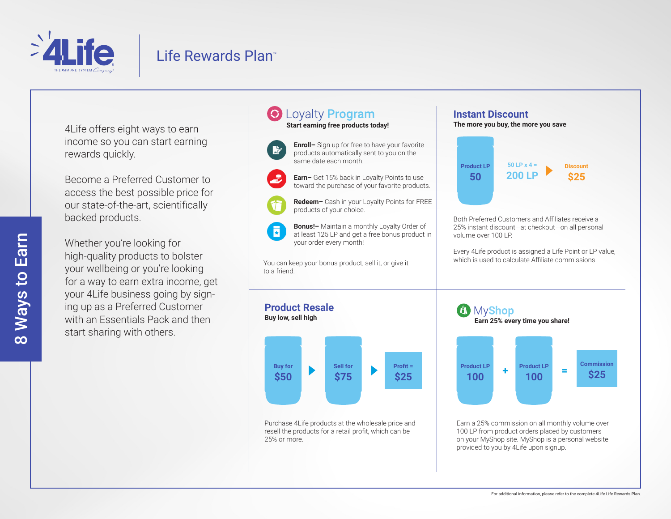

## Life Rewards Plan™

4Life offers eight ways to earn income so you can start earning rewards quickly.

Become a Preferred Customer to access the best possible price for our state-of-the-art, scientifically backed products.

Whether you're looking for high-quality products to bolster your wellbeing or you're looking for a way to earn extra income, get your 4Life business going by signing up as a Preferred Customer with an Essentials Pack and then start sharing with others.

### Loyalty Program **Start earning free products today!**

same date each month.





products of your choice.

**Bonus!–** Maintain a monthly Loyalty Order of ā at least 125 LP and get a free bonus product in your order every month!

You can keep your bonus product, sell it, or give it to a friend.



Purchase 4Life products at the wholesale price and resell the products for a retail profit, which can be 25% or more.

#### **Instant Discount The more you buy, the more you save Enroll–** Sign up for free to have your favorite products automatically sent to you on the **50 LP x 4 = Product LP Discount 200 LP \$25 50 Earn–** Get 15% back in Loyalty Points to use toward the purchase of your favorite products. **Redeem–** Cash in your Loyalty Points for FREE Both Preferred Customers and Affiliates receive a 25% instant discount—at checkout—on all personal volume over 100 LP. Every 4Life product is assigned a Life Point or LP value, which is used to calculate Affiliate commissions. *C* MyShop **Earn 25% every time you share!**



Earn a 25% commission on all monthly volume over 100 LP from product orders placed by customers on your MyShop site. MyShop is a personal website provided to you by 4Life upon signup.